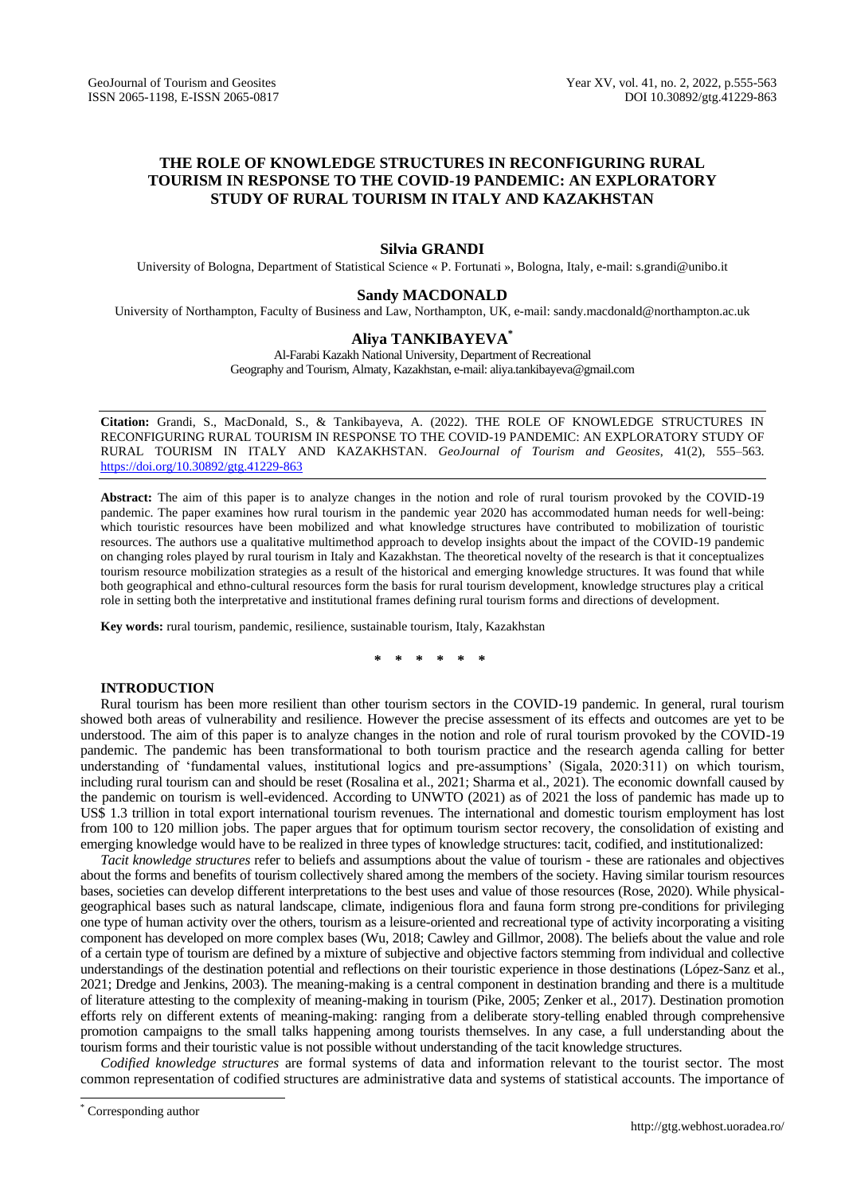# **THE ROLE OF KNOWLEDGE STRUCTURES IN RECONFIGURING RURAL TOURISM IN RESPONSE TO THE COVID-19 PANDEMIC: AN EXPLORATORY STUDY OF RURAL TOURISM IN ITALY AND KAZAKHSTAN**

## **Silvia GRANDI**

University of Bologna, Department of Statistical Science « P. Fortunati », Bologna, Italy, e-mail: s.grandi@unibo.it

### **Sandy MACDONALD**

University of Northampton, Faculty of Business and Law, Northampton, UK, e-mail: [sandy.macdonald@northampton.ac.uk](mailto:sandy.macdonald@northampton.ac.uk)

## **Aliya TANKIBAYEVA\***

Al-Farabi Kazakh National University, Department of Recreational Geography and Tourism, Almaty, Kazakhstan, e-mail: aliya.tankibayeva@gmail.com

**Citation:** Grandi, S., MacDonald, S., & Tankibayeva, A. (2022). THE ROLE OF KNOWLEDGE STRUCTURES IN RECONFIGURING RURAL TOURISM IN RESPONSE TO THE COVID-19 PANDEMIC: AN EXPLORATORY STUDY OF RURAL TOURISM IN ITALY AND KAZAKHSTAN. *GeoJournal of Tourism and Geosites*, 41(2), 555–563. https://doi.org/10.30892/gtg.41229-863

**Abstract:** The aim of this paper is to analyze changes in the notion and role of rural tourism provoked by the COVID-19 pandemic. The paper examines how rural tourism in the pandemic year 2020 has accommodated human needs for well-being: which touristic resources have been mobilized and what knowledge structures have contributed to mobilization of touristic resources. The authors use a qualitative multimethod approach to develop insights about the impact of the COVID-19 pandemic on changing roles played by rural tourism in Italy and Kazakhstan. The theoretical novelty of the research is that it conceptualizes tourism resource mobilization strategies as a result of the historical and emerging knowledge structures. It was found that while both geographical and ethno-cultural resources form the basis for rural tourism development, knowledge structures play a critical role in setting both the interpretative and institutional frames defining rural tourism forms and directions of development.

**Key words:** rural tourism, pandemic, resilience, sustainable tourism, Italy, Kazakhstan

**\* \* \* \* \* \***

## **INTRODUCTION**

Rural tourism has been more resilient than other tourism sectors in the COVID-19 pandemic. In general, rural tourism showed both areas of vulnerability and resilience. However the precise assessment of its effects and outcomes are yet to be understood. The aim of this paper is to analyze changes in the notion and role of rural tourism provoked by the COVID-19 pandemic. The pandemic has been transformational to both tourism practice and the research agenda calling for better understanding of 'fundamental values, institutional logics and pre-assumptions' (Sigala, 2020:311) on which tourism, including rural tourism can and should be reset (Rosalina et al., 2021; Sharma et al., 2021). The economic downfall caused by the pandemic on tourism is well-evidenced. According to UNWTO (2021) as of 2021 the loss of pandemic has made up to US\$ 1.3 trillion in total export international tourism revenues. The international and domestic tourism employment has lost from 100 to 120 million jobs. The paper argues that for optimum tourism sector recovery, the consolidation of existing and emerging knowledge would have to be realized in three types of knowledge structures: tacit, codified, and institutionalized:

*Tacit knowledge structures* refer to beliefs and assumptions about the value of tourism - these are rationales and objectives about the forms and benefits of tourism collectively shared among the members of the society. Having similar tourism resources bases, societies can develop different interpretations to the best uses and value of those resources (Rose, 2020). While physicalgeographical bases such as natural landscape, climate, indigenious flora and fauna form strong pre-conditions for privileging one type of human activity over the others, tourism as a leisure-oriented and recreational type of activity incorporating a visiting component has developed on more complex bases (Wu, 2018; Cawley and Gillmor, 2008). The beliefs about the value and role of a certain type of tourism are defined by a mixture of subjective and objective factors stemming from individual and collective understandings of the destination potential and reflections on their touristic experience in those destinations (López-Sanz et al., 2021; Dredge and Jenkins, 2003). The meaning-making is a central component in destination branding and there is a multitude of literature attesting to the complexity of meaning-making in tourism (Pike, 2005; Zenker et al., 2017). Destination promotion efforts rely on different extents of meaning-making: ranging from a deliberate story-telling enabled through comprehensive promotion campaigns to the small talks happening among tourists themselves. In any case, a full understanding about the tourism forms and their touristic value is not possible without understanding of the tacit knowledge structures.

*Codified knowledge structures* are formal systems of data and information relevant to the tourist sector. The most common representation of codified structures are administrative data and systems of statistical accounts. The importance of

 $\overline{a}$ 

Corresponding author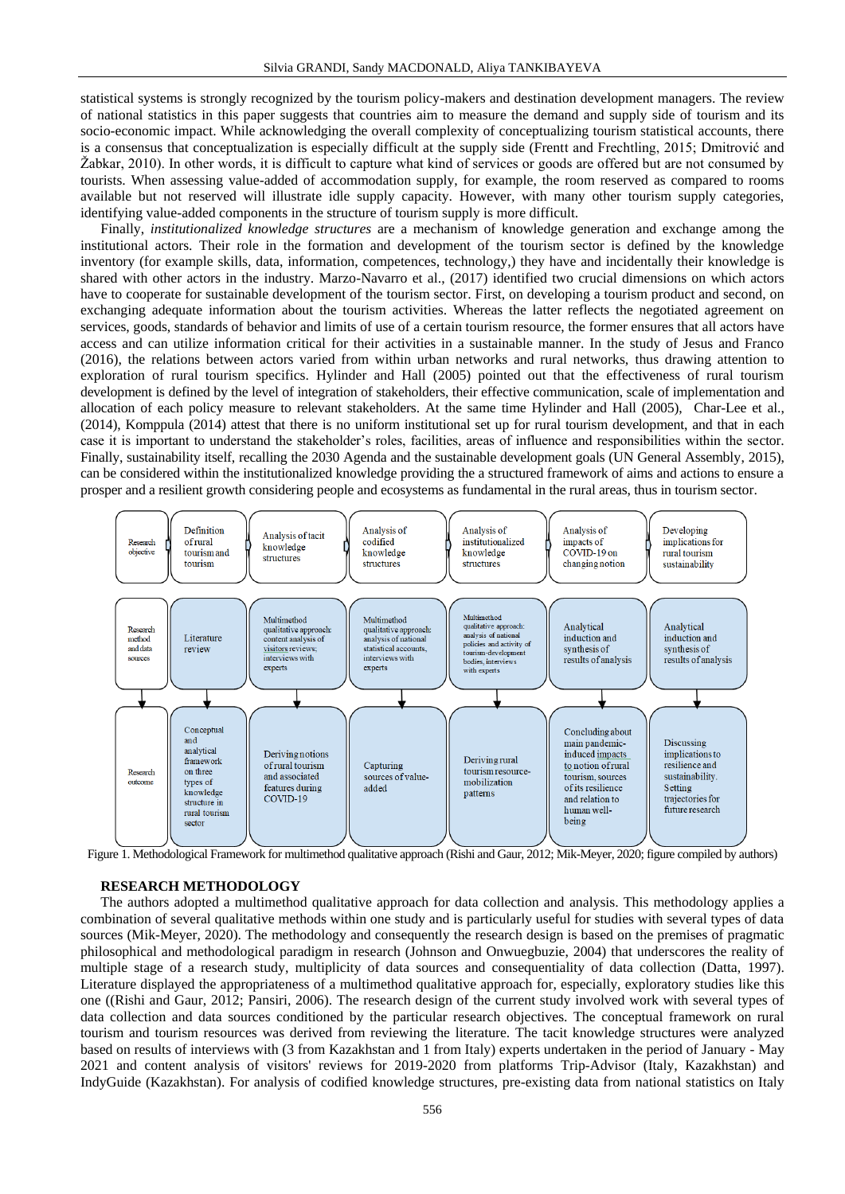statistical systems is strongly recognized by the tourism policy-makers and destination development managers. The review of national statistics in this paper suggests that countries aim to measure the demand and supply side of tourism and its socio-economic impact. While acknowledging the overall complexity of conceptualizing tourism statistical accounts, there is a consensus that conceptualization is especially difficult at the supply side (Frentt and Frechtling, 2015; Dmitrović and Žabkar, 2010). In other words, it is difficult to capture what kind of services or goods are offered but are not consumed by tourists. When assessing value-added of accommodation supply, for example, the room reserved as compared to rooms available but not reserved will illustrate idle supply capacity. However, with many other tourism supply categories, identifying value-added components in the structure of tourism supply is more difficult.

Finally, *institutionalized knowledge structures* are a mechanism of knowledge generation and exchange among the institutional actors. Their role in the formation and development of the tourism sector is defined by the knowledge inventory (for example skills, data, information, competences, technology,) they have and incidentally their knowledge is shared with other actors in the industry. Marzo-Navarro et al., (2017) identified two crucial dimensions on which actors have to cooperate for sustainable development of the tourism sector. First, on developing a tourism product and second, on exchanging adequate information about the tourism activities. Whereas the latter reflects the negotiated agreement on services, goods, standards of behavior and limits of use of a certain tourism resource, the former ensures that all actors have access and can utilize information critical for their activities in a sustainable manner. In the study of Jesus and Franco (2016), the relations between actors varied from within urban networks and rural networks, thus drawing attention to exploration of rural tourism specifics. Hylinder and Hall (2005) pointed out that the effectiveness of rural tourism development is defined by the level of integration of stakeholders, their effective communication, scale of implementation and allocation of each policy measure to relevant stakeholders. At the same time Hylinder and Hall (2005), Char-Lee et al., (2014), Komppula (2014) attest that there is no uniform institutional set up for rural tourism development, and that in each case it is important to understand the stakeholder's roles, facilities, areas of influence and responsibilities within the sector. Finally, sustainability itself, recalling the 2030 Agenda and the sustainable development goals (UN General Assembly, 2015), can be considered within the institutionalized knowledge providing the a structured framework of aims and actions to ensure a prosper and a resilient growth considering people and ecosystems as fundamental in the rural areas, thus in tourism sector.



Figure 1. Methodological Framework for multimethod qualitative approach (Rishi and Gaur, 2012; Mik-Meyer, 2020; figure compiled by authors)

## **RESEARCH METHODOLOGY**

The authors adopted a multimethod qualitative approach for data collection and analysis. This methodology applies a combination of several qualitative methods within one study and is particularly useful for studies with several types of data sources (Mik-Meyer, 2020). The methodology and consequently the research design is based on the premises of pragmatic philosophical and methodological paradigm in research (Johnson and Onwuegbuzie, 2004) that underscores the reality of multiple stage of a research study, multiplicity of data sources and consequentiality of data collection (Datta, 1997). Literature displayed the appropriateness of a multimethod qualitative approach for, especially, exploratory studies like this one ((Rishi and Gaur, 2012; Pansiri, 2006). The research design of the current study involved work with several types of data collection and data sources conditioned by the particular research objectives. The conceptual framework on rural tourism and tourism resources was derived from reviewing the literature. The tacit knowledge structures were analyzed based on results of interviews with (3 from Kazakhstan and 1 from Italy) experts undertaken in the period of January - May 2021 and content analysis of visitors' reviews for 2019-2020 from platforms Trip-Advisor (Italy, Kazakhstan) and IndyGuide (Kazakhstan). For analysis of codified knowledge structures, pre-existing data from national statistics on Italy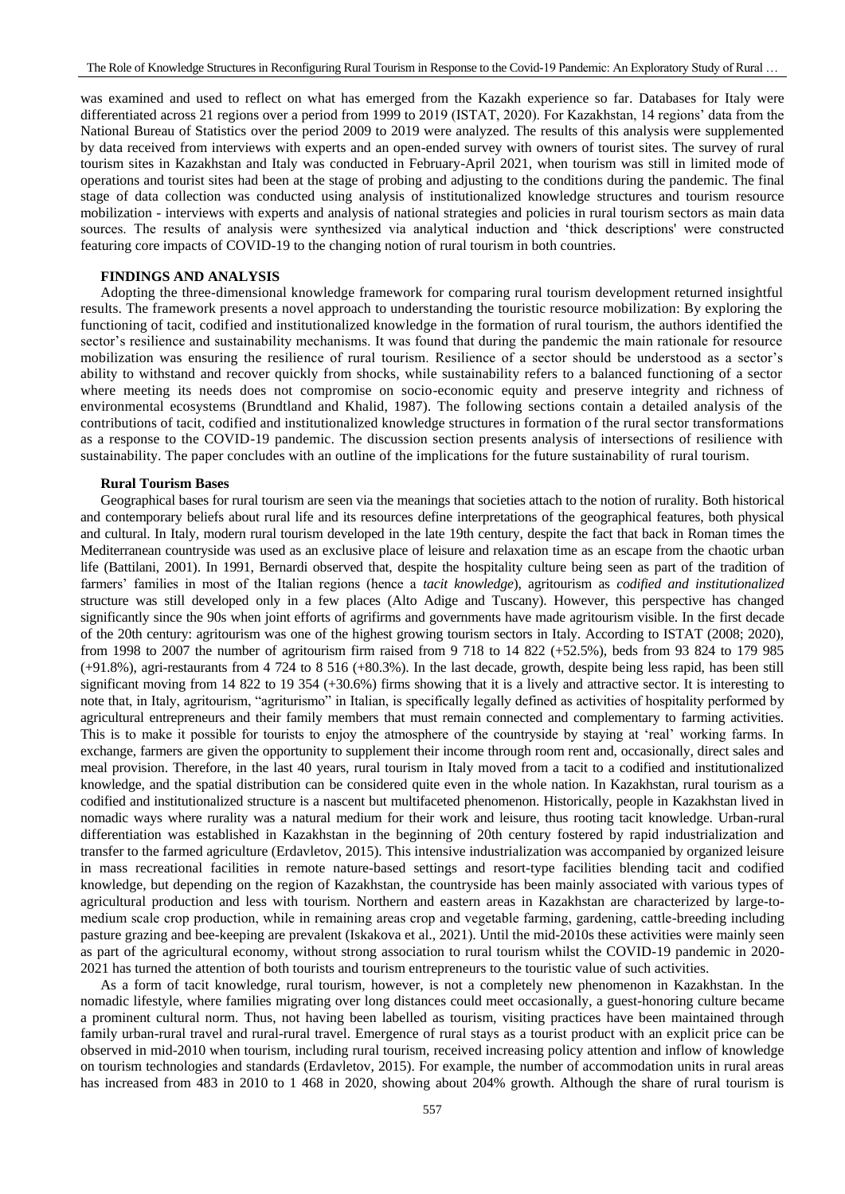was examined and used to reflect on what has emerged from the Kazakh experience so far. Databases for Italy were differentiated across 21 regions over a period from 1999 to 2019 (ISTAT, 2020). For Kazakhstan, 14 regions' data from the National Bureau of Statistics over the period 2009 to 2019 were analyzed. The results of this analysis were supplemented by data received from interviews with experts and an open-ended survey with owners of tourist sites. The survey of rural tourism sites in Kazakhstan and Italy was conducted in February-April 2021, when tourism was still in limited mode of operations and tourist sites had been at the stage of probing and adjusting to the conditions during the pandemic. The final stage of data collection was conducted using analysis of institutionalized knowledge structures and tourism resource mobilization - interviews with experts and analysis of national strategies and policies in rural tourism sectors as main data sources. The results of analysis were synthesized via analytical induction and 'thick descriptions' were constructed featuring core impacts of COVID-19 to the changing notion of rural tourism in both countries.

## **FINDINGS AND ANALYSIS**

Adopting the three-dimensional knowledge framework for comparing rural tourism development returned insightful results. The framework presents a novel approach to understanding the touristic resource mobilization: By exploring the functioning of tacit, codified and institutionalized knowledge in the formation of rural tourism, the authors identified the sector's resilience and sustainability mechanisms. It was found that during the pandemic the main rationale for resource mobilization was ensuring the resilience of rural tourism. Resilience of a sector should be understood as a sector's ability to withstand and recover quickly from shocks, while sustainability refers to a balanced functioning of a sector where meeting its needs does not compromise on socio-economic equity and preserve integrity and richness of environmental ecosystems (Brundtland and Khalid, 1987). The following sections contain a detailed analysis of the contributions of tacit, codified and institutionalized knowledge structures in formation of the rural sector transformations as a response to the COVID-19 pandemic. The discussion section presents analysis of intersections of resilience with sustainability. The paper concludes with an outline of the implications for the future sustainability of rural tourism.

#### **Rural Tourism Bases**

Geographical bases for rural tourism are seen via the meanings that societies attach to the notion of rurality. Both historical and contemporary beliefs about rural life and its resources define interpretations of the geographical features, both physical and cultural. In Italy, modern rural tourism developed in the late 19th century, despite the fact that back in Roman times the Mediterranean countryside was used as an exclusive place of leisure and relaxation time as an escape from the chaotic urban life (Battilani, 2001). In 1991, Bernardi observed that, despite the hospitality culture being seen as part of the tradition of farmers' families in most of the Italian regions (hence a *tacit knowledge*), agritourism as *codified and institutionalized* structure was still developed only in a few places (Alto Adige and Tuscany). However, this perspective has changed significantly since the 90s when joint efforts of agrifirms and governments have made agritourism visible. In the first decade of the 20th century: agritourism was one of the highest growing tourism sectors in Italy. According to ISTAT (2008; 2020), from 1998 to 2007 the number of agritourism firm raised from 9 718 to 14 822 (+52.5%), beds from 93 824 to 179 985 (+91.8%), agri-restaurants from 4 724 to 8 516 (+80.3%). In the last decade, growth, despite being less rapid, has been still significant moving from 14 822 to 19 354 (+30.6%) firms showing that it is a lively and attractive sector. It is interesting to note that, in Italy, agritourism, "agriturismo" in Italian, is specifically legally defined as activities of hospitality performed by agricultural entrepreneurs and their family members that must remain connected and complementary to farming activities. This is to make it possible for tourists to enjoy the atmosphere of the countryside by staying at 'real' working farms. In exchange, farmers are given the opportunity to supplement their income through room rent and, occasionally, direct sales and meal provision. Therefore, in the last 40 years, rural tourism in Italy moved from a tacit to a codified and institutionalized knowledge, and the spatial distribution can be considered quite even in the whole nation. In Kazakhstan, rural tourism as a codified and institutionalized structure is a nascent but multifaceted phenomenon. Historically, people in Kazakhstan lived in nomadic ways where rurality was a natural medium for their work and leisure, thus rooting tacit knowledge. Urban-rural differentiation was established in Kazakhstan in the beginning of 20th century fostered by rapid industrialization and transfer to the farmed agriculture (Erdavletov, 2015). This intensive industrialization was accompanied by organized leisure in mass recreational facilities in remote nature-based settings and resort-type facilities blending tacit and codified knowledge, but depending on the region of Kazakhstan, the countryside has been mainly associated with various types of agricultural production and less with tourism. Northern and eastern areas in Kazakhstan are characterized by large-tomedium scale crop production, while in remaining areas crop and vegetable farming, gardening, сattle-breeding including pasture grazing and bee-keeping are prevalent (Iskakova et al., 2021). Until the mid-2010s these activities were mainly seen as part of the agricultural economy, without strong association to rural tourism whilst the COVID-19 pandemic in 2020- 2021 has turned the attention of both tourists and tourism entrepreneurs to the touristic value of such activities.

As a form of tacit knowledge, rural tourism, however, is not a completely new phenomenon in Kazakhstan. In the nomadic lifestyle, where families migrating over long distances could meet occasionally, a guest-honoring culture became a prominent cultural norm. Thus, not having been labelled as tourism, visiting practices have been maintained through family urban-rural travel and rural-rural travel. Emergence of rural stays as a tourist product with an explicit price can be observed in mid-2010 when tourism, including rural tourism, received increasing policy attention and inflow of knowledge on tourism technologies and standards (Erdavletov, 2015). For example, the number of accommodation units in rural areas has increased from 483 in 2010 to 1 468 in 2020, showing about 204% growth. Although the share of rural tourism is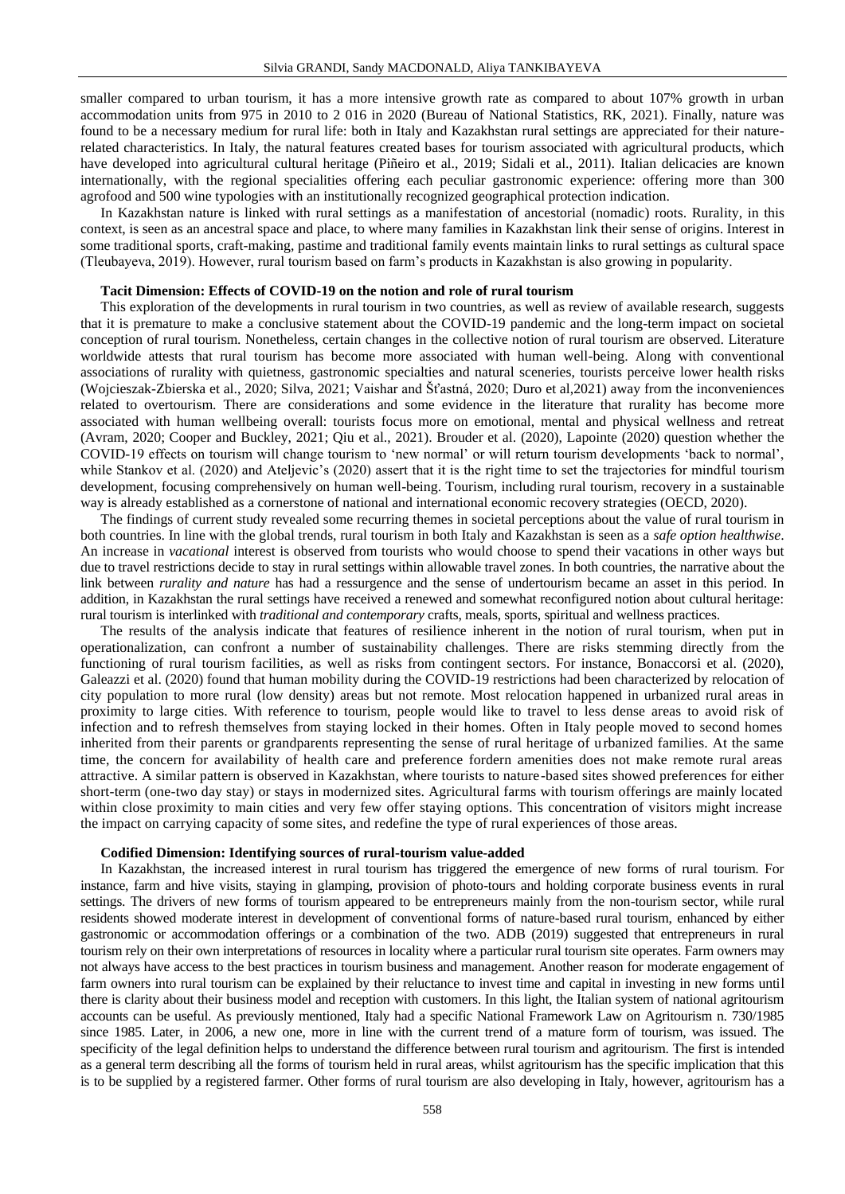smaller compared to urban tourism, it has a more intensive growth rate as compared to about 107% growth in urban accommodation units from 975 in 2010 to 2 016 in 2020 (Bureau of National Statistics, RK, 2021). Finally, nature was found to be a necessary medium for rural life: both in Italy and Kazakhstan rural settings are appreciated for their naturerelated characteristics. In Italy, the natural features created bases for tourism associated with agricultural products, which have developed into agricultural cultural heritage (Piñeiro et al., 2019; Sidali et al., 2011). Italian delicacies are known internationally, with the regional specialities offering each peculiar gastronomic experience: offering more than 300 agrofood and 500 wine typologies with an institutionally recognized geographical protection indication.

In Kazakhstan nature is linked with rural settings as a manifestation of ancestorial (nomadic) roots. Rurality, in this context, is seen as an ancestral space and place, to where many families in Kazakhstan link their sense of origins. Interest in some traditional sports, craft-making, pastime and traditional family events maintain links to rural settings as cultural space (Tleubayeva, 2019). However, rural tourism based on farm's products in Kazakhstan is also growing in popularity.

## **Tacit Dimension: Effects of COVID-19 on the notion and role of rural tourism**

This exploration of the developments in rural tourism in two countries, as well as review of available research, suggests that it is premature to make a conclusive statement about the COVID-19 pandemic and the long-term impact on societal conception of rural tourism. Nonetheless, certain changes in the collective notion of rural tourism are observed. Literature worldwide attests that rural tourism has become more associated with human well-being. Along with conventional associations of rurality with quietness, gastronomic specialties and natural sceneries, tourists perceive lower health risks (Wojcieszak-Zbierska et al., 2020; Silva, 2021; Vaishar and Šťastná, 2020; Duro et al,2021) away from the inconveniences related to overtourism. There are considerations and some evidence in the literature that rurality has become more associated with human wellbeing overall: tourists focus more on emotional, mental and physical wellness and retreat (Avram, 2020; Cooper and Buckley, 2021; Qiu et al., 2021). Brouder et al. (2020), Lapointe (2020) question whether the COVID-19 effects on tourism will change tourism to 'new normal' or will return tourism developments 'back to normal', while Stankov et al. (2020) and Ateljevic's (2020) assert that it is the right time to set the trajectories for mindful tourism development, focusing comprehensively on human well-being. Tourism, including rural tourism, recovery in a sustainable way is already established as a cornerstone of national and international economic recovery strategies (OECD, 2020).

The findings of current study revealed some recurring themes in societal perceptions about the value of rural tourism in both countries. In line with the global trends, rural tourism in both Italy and Kazakhstan is seen as a *safe option healthwise*. An increase in *vacational* interest is observed from tourists who would choose to spend their vacations in other ways but due to travel restrictions decide to stay in rural settings within allowable travel zones. In both countries, the narrative about the link between *rurality and nature* has had a ressurgence and the sense of undertourism became an asset in this period. In addition, in Kazakhstan the rural settings have received a renewed and somewhat reconfigured notion about cultural heritage: rural tourism is interlinked with *traditional and contemporary* crafts, meals, sports, spiritual and wellness practices.

The results of the analysis indicate that features of resilience inherent in the notion of rural tourism, when put in operationalization, can confront a number of sustainability challenges. There are risks stemming directly from the functioning of rural tourism facilities, as well as risks from contingent sectors. For instance, Bonaccorsi et al. (2020), Galeazzi et al. (2020) found that human mobility during the COVID-19 restrictions had been characterized by relocation of city population to more rural (low density) areas but not remote. Most relocation happened in urbanized rural areas in proximity to large cities. With reference to tourism, people would like to travel to less dense areas to avoid risk of infection and to refresh themselves from staying locked in their homes. Often in Italy people moved to second homes inherited from their parents or grandparents representing the sense of rural heritage of urbanized families. At the same time, the concern for availability of health care and preference fordern amenities does not make remote rural areas attractive. A similar pattern is observed in Kazakhstan, where tourists to nature-based sites showed preferences for either short-term (one-two day stay) or stays in modernized sites. Agricultural farms with tourism offerings are mainly located within close proximity to main cities and very few offer staying options. This concentration of visitors might increase the impact on carrying capacity of some sites, and redefine the type of rural experiences of those areas.

### **Codified Dimension: Identifying sources of rural-tourism value-added**

In Kazakhstan, the increased interest in rural tourism has triggered the emergence of new forms of rural tourism. For instance, farm and hive visits, staying in glamping, provision of photo-tours and holding corporate business events in rural settings. The drivers of new forms of tourism appeared to be entrepreneurs mainly from the non-tourism sector, while rural residents showed moderate interest in development of conventional forms of nature-based rural tourism, enhanced by either gastronomic or accommodation offerings or a combination of the two. ADB (2019) suggested that entrepreneurs in rural tourism rely on their own interpretations of resources in locality where a particular rural tourism site operates. Farm owners may not always have access to the best practices in tourism business and management. Another reason for moderate engagement of farm owners into rural tourism can be explained by their reluctance to invest time and capital in investing in new forms until there is clarity about their business model and reception with customers. In this light, the Italian system of national agritourism accounts can be useful. As previously mentioned, Italy had a specific National Framework Law on Agritourism n. 730/1985 since 1985. Later, in 2006, a new one, more in line with the current trend of a mature form of tourism, was issued. The specificity of the legal definition helps to understand the difference between rural tourism and agritourism. The first is intended as a general term describing all the forms of tourism held in rural areas, whilst agritourism has the specific implication that this is to be supplied by a registered farmer. Other forms of rural tourism are also developing in Italy, however, agritourism has a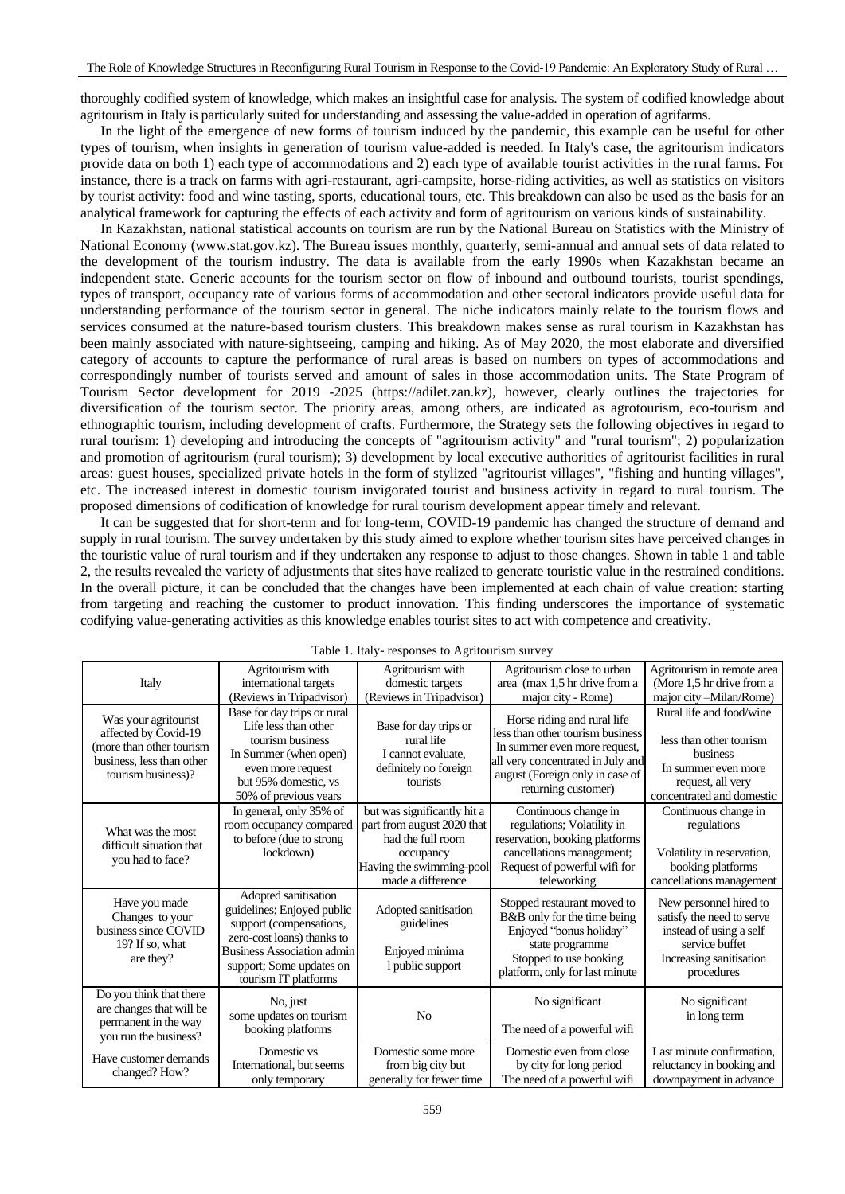thoroughly codified system of knowledge, which makes an insightful case for analysis. The system of codified knowledge about agritourism in Italy is particularly suited for understanding and assessing the value-added in operation of agrifarms.

In the light of the emergence of new forms of tourism induced by the pandemic, this example can be useful for other types of tourism, when insights in generation of tourism value-added is needed. In Italy's case, the agritourism indicators provide data on both 1) each type of accommodations and 2) each type of available tourist activities in the rural farms. For instance, there is a track on farms with agri-restaurant, agri-campsite, horse-riding activities, as well as statistics on visitors by tourist activity: food and wine tasting, sports, educational tours, etc. This breakdown can also be used as the basis for an analytical framework for capturing the effects of each activity and form of agritourism on various kinds of sustainability.

In Kazakhstan, national statistical accounts on tourism are run by the National Bureau on Statistics with the Ministry of National Economy (www.stat.gov.kz). The Bureau issues monthly, quarterly, semi-annual and annual sets of data related to the development of the tourism industry. The data is available from the early 1990s when Kazakhstan became an independent state. Generic accounts for the tourism sector on flow of inbound and outbound tourists, tourist spendings, types of transport, occupancy rate of various forms of accommodation and other sectoral indicators provide useful data for understanding performance of the tourism sector in general. The niche indicators mainly relate to the tourism flows and services consumed at the nature-based tourism clusters. This breakdown makes sense as rural tourism in Kazakhstan has been mainly associated with nature-sightseeing, camping and hiking. As of May 2020, the most elaborate and diversified category of accounts to capture the performance of rural areas is based on numbers on types of accommodations and correspondingly number of tourists served and amount of sales in those accommodation units. The State Program of Tourism Sector development for 2019 -2025 (https://adilet.zan.kz), however, clearly outlines the trajectories for diversification of the tourism sector. The priority areas, among others, are indicated as agrotourism, eco-tourism and ethnographic tourism, including development of crafts. Furthermore, the Strategy sets the following objectives in regard to rural tourism: 1) developing and introducing the concepts of "agritourism activity" and "rural tourism"; 2) popularization and promotion of agritourism (rural tourism); 3) development by local executive authorities of agritourist facilities in rural areas: guest houses, specialized private hotels in the form of stylized "agritourist villages", "fishing and hunting villages", etc. The increased interest in domestic tourism invigorated tourist and business activity in regard to rural tourism. The proposed dimensions of codification of knowledge for rural tourism development appear timely and relevant.

It can be suggested that for short-term and for long-term, COVID-19 pandemic has changed the structure of demand and supply in rural tourism. The survey undertaken by this study aimed to explore whether tourism sites have perceived changes in the touristic value of rural tourism and if they undertaken any response to adjust to those changes. Shown in table 1 and table 2, the results revealed the variety of adjustments that sites have realized to generate touristic value in the restrained conditions. In the overall picture, it can be concluded that the changes have been implemented at each chain of value creation: starting from targeting and reaching the customer to product innovation. This finding underscores the importance of systematic codifying value-generating activities as this knowledge enables tourist sites to act with competence and creativity.

| Italy                                                                                                                       | Agritourism with<br>international targets<br>(Reviews in Tripadvisor)                                                                                                                                | Agritourism with<br>domestic targets<br>(Reviews in Tripadvisor)                                                                             | Agritourism close to urban<br>area (max 1,5 hr drive from a<br>major city - Rome)                                                                                                              | Agritourism in remote area<br>(More 1,5 hr drive from a<br>major city -Milan/Rome)                                                        |
|-----------------------------------------------------------------------------------------------------------------------------|------------------------------------------------------------------------------------------------------------------------------------------------------------------------------------------------------|----------------------------------------------------------------------------------------------------------------------------------------------|------------------------------------------------------------------------------------------------------------------------------------------------------------------------------------------------|-------------------------------------------------------------------------------------------------------------------------------------------|
| Was your agritourist<br>affected by Covid-19<br>(more than other tourism<br>business, less than other<br>tourism business)? | Base for day trips or rural<br>Life less than other<br>tourism business<br>In Summer (when open)<br>even more request<br>but 95% domestic, vs<br>50% of previous years                               | Base for day trips or<br>rural life<br>I cannot evaluate.<br>definitely no foreign<br>tourists                                               | Horse riding and rural life<br>less than other tourism business<br>In summer even more request,<br>all very concentrated in July and<br>august (Foreign only in case of<br>returning customer) | Rural life and food/wine<br>less than other tourism<br>business<br>In summer even more<br>request, all very<br>concentrated and domestic  |
| What was the most<br>difficult situation that<br>you had to face?                                                           | In general, only 35% of<br>room occupancy compared<br>to before (due to strong)<br>lockdown)                                                                                                         | but was significantly hit a<br>part from august 2020 that<br>had the full room<br>occupancy<br>Having the swimming-pool<br>made a difference | Continuous change in<br>regulations; Volatility in<br>reservation, booking platforms<br>cancellations management;<br>Request of powerful wifi for<br>teleworking                               | Continuous change in<br>regulations<br>Volatility in reservation,<br>booking platforms<br>cancellations management                        |
| Have you made<br>Changes to your<br>business since COVID<br>19? If so, what<br>are they?                                    | Adopted sanitisation<br>guidelines; Enjoyed public<br>support (compensations,<br>zero-cost loans) thanks to<br><b>Business Association admin</b><br>support; Some updates on<br>tourism IT platforms | Adopted sanitisation<br>guidelines<br>Enjoyed minima<br>l public support                                                                     | Stopped restaurant moved to<br>B&B only for the time being<br>Enjoyed "bonus holiday"<br>state programme<br>Stopped to use booking<br>platform, only for last minute                           | New personnel hired to<br>satisfy the need to serve<br>instead of using a self<br>service buffet<br>Increasing sanitisation<br>procedures |
| Do you think that there<br>are changes that will be<br>permanent in the way<br>you run the business?                        | No, just<br>some updates on tourism<br>booking platforms                                                                                                                                             | N <sub>o</sub>                                                                                                                               | No significant<br>The need of a powerful wifi                                                                                                                                                  | No significant<br>in long term                                                                                                            |
| Have customer demands<br>changed? How?                                                                                      | Domestic vs<br>International, but seems<br>only temporary                                                                                                                                            | Domestic some more<br>from big city but<br>generally for fewer time                                                                          | Domestic even from close<br>by city for long period<br>The need of a powerful wifi                                                                                                             | Last minute confirmation,<br>reluctancy in booking and<br>downpayment in advance                                                          |

Table 1. Italy- responses to Agritourism survey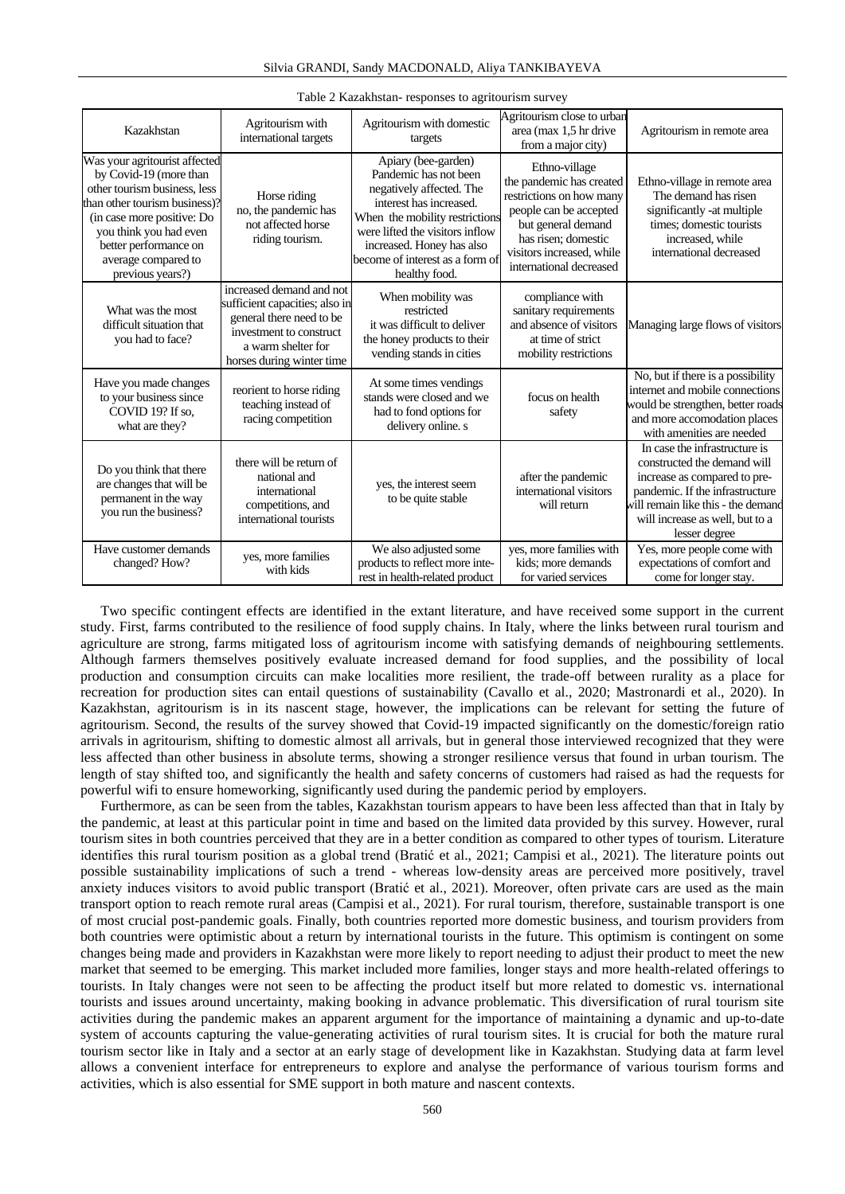| Kazakhstan                                                                                                                                                                                                                                           | Agritourism with<br>international targets                                                                                                                            | Agritourism with domestic<br>targets                                                                                                                                                                                                                      | Agritourism close to urban<br>area (max 1,5 hr drive<br>from a major city)                                                                                                                           | Agritourism in remote area                                                                                                                                                                                                |
|------------------------------------------------------------------------------------------------------------------------------------------------------------------------------------------------------------------------------------------------------|----------------------------------------------------------------------------------------------------------------------------------------------------------------------|-----------------------------------------------------------------------------------------------------------------------------------------------------------------------------------------------------------------------------------------------------------|------------------------------------------------------------------------------------------------------------------------------------------------------------------------------------------------------|---------------------------------------------------------------------------------------------------------------------------------------------------------------------------------------------------------------------------|
| Was your agritourist affected<br>by Covid-19 (more than<br>other tourism business, less<br>than other tourism business)?<br>(in case more positive: Do<br>you think you had even<br>better performance on<br>average compared to<br>previous years?) | Horse riding<br>no, the pandemic has<br>not affected horse<br>riding tourism.                                                                                        | Apiary (bee-garden)<br>Pandemic has not been<br>negatively affected. The<br>interest has increased.<br>When the mobility restrictions<br>were lifted the visitors inflow<br>increased. Honey has also<br>become of interest as a form of<br>healthy food. | Ethno-village<br>the pandemic has created<br>restrictions on how many<br>people can be accepted<br>but general demand<br>has risen; domestic<br>visitors increased, while<br>international decreased | Ethno-village in remote area<br>The demand has risen<br>significantly -at multiple<br>times; domestic tourists<br>increased, while<br>international decreased                                                             |
| What was the most<br>difficult situation that<br>you had to face?                                                                                                                                                                                    | increased demand and not<br>sufficient capacities; also in<br>general there need to be<br>investment to construct<br>a warm shelter for<br>horses during winter time | When mobility was<br>restricted<br>it was difficult to deliver<br>the honey products to their<br>vending stands in cities                                                                                                                                 | compliance with<br>sanitary requirements<br>and absence of visitors<br>at time of strict<br>mobility restrictions                                                                                    | Managing large flows of visitors                                                                                                                                                                                          |
| Have you made changes<br>to your business since<br>COVID 19? If so,<br>what are they?                                                                                                                                                                | reorient to horse riding<br>teaching instead of<br>racing competition                                                                                                | At some times vendings<br>stands were closed and we<br>had to fond options for<br>delivery online. s                                                                                                                                                      | focus on health<br>safety                                                                                                                                                                            | No, but if there is a possibility<br>internet and mobile connections<br>would be strengthen, better roads<br>and more accomodation places<br>with amenities are needed                                                    |
| Do you think that there<br>are changes that will be<br>permanent in the way<br>you run the business?                                                                                                                                                 | there will be return of<br>national and<br>international<br>competitions, and<br>international tourists                                                              | yes, the interest seem<br>to be quite stable                                                                                                                                                                                                              | after the pandemic<br>international visitors<br>will return                                                                                                                                          | In case the infrastructure is<br>constructed the demand will<br>increase as compared to pre-<br>pandemic. If the infrastructure<br>will remain like this - the demand<br>will increase as well, but to a<br>lesser degree |
| Have customer demands<br>changed? How?                                                                                                                                                                                                               | ves, more families<br>with kids                                                                                                                                      | We also adjusted some<br>products to reflect more inte-<br>rest in health-related product                                                                                                                                                                 | yes, more families with<br>kids: more demands<br>for varied services                                                                                                                                 | Yes, more people come with<br>expectations of comfort and<br>come for longer stay.                                                                                                                                        |

#### Table 2 Kazakhstan- responses to agritourism survey

Two specific contingent effects are identified in the extant literature, and have received some support in the current study. First, farms contributed to the resilience of food supply chains. In Italy, where the links between rural tourism and agriculture are strong, farms mitigated loss of agritourism income with satisfying demands of neighbouring settlements. Although farmers themselves positively evaluate increased demand for food supplies, and the possibility of local production and consumption circuits can make localities more resilient, the trade-off between rurality as a place for recreation for production sites can entail questions of sustainability (Cavallo et al., 2020; Mastronardi et al., 2020). In Kazakhstan, agritourism is in its nascent stage, however, the implications can be relevant for setting the future of agritourism. Second, the results of the survey showed that Covid-19 impacted significantly on the domestic/foreign ratio arrivals in agritourism, shifting to domestic almost all arrivals, but in general those interviewed recognized that they were less affected than other business in absolute terms, showing a stronger resilience versus that found in urban tourism. The length of stay shifted too, and significantly the health and safety concerns of customers had raised as had the requests for powerful wifi to ensure homeworking, significantly used during the pandemic period by employers.

Furthermore, as can be seen from the tables, Kazakhstan tourism appears to have been less affected than that in Italy by the pandemic, at least at this particular point in time and based on the limited data provided by this survey. However, rural tourism sites in both countries perceived that they are in a better condition as compared to other types of tourism. Literature identifies this rural tourism position as a global trend (Bratić et al., 2021; Campisi et al., 2021). The literature points out possible sustainability implications of such a trend - whereas low-density areas are perceived more positively, travel anxiety induces visitors to avoid public transport (Bratić et al., 2021). Moreover, often private cars are used as the main transport option to reach remote rural areas (Campisi et al., 2021). For rural tourism, therefore, sustainable transport is one of most crucial post-pandemic goals. Finally, both countries reported more domestic business, and tourism providers from both countries were optimistic about a return by international tourists in the future. This optimism is contingent on some changes being made and providers in Kazakhstan were more likely to report needing to adjust their product to meet the new market that seemed to be emerging. This market included more families, longer stays and more health-related offerings to tourists. In Italy changes were not seen to be affecting the product itself but more related to domestic vs. international tourists and issues around uncertainty, making booking in advance problematic. This diversification of rural tourism site activities during the pandemic makes an apparent argument for the importance of maintaining a dynamic and up-to-date system of accounts capturing the value-generating activities of rural tourism sites. It is crucial for both the mature rural tourism sector like in Italy and a sector at an early stage of development like in Kazakhstan. Studying data at farm level allows a convenient interface for entrepreneurs to explore and analyse the performance of various tourism forms and activities, which is also essential for SME support in both mature and nascent contexts.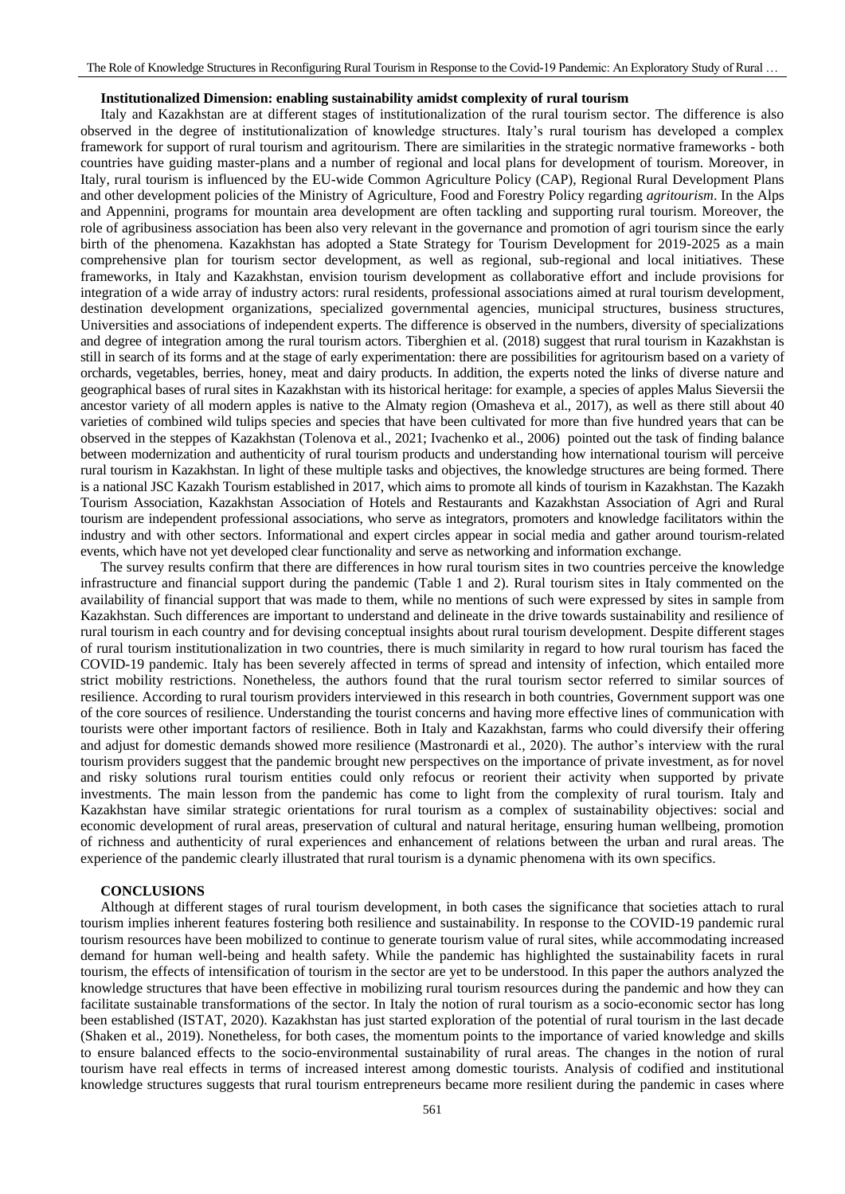### **Institutionalized Dimension: enabling sustainability amidst complexity of rural tourism**

Italy and Kazakhstan are at different stages of institutionalization of the rural tourism sector. The difference is also observed in the degree of institutionalization of knowledge structures. Italy's rural tourism has developed a complex framework for support of rural tourism and agritourism. There are similarities in the strategic normative frameworks - both countries have guiding master-plans and a number of regional and local plans for development of tourism. Moreover, in Italy, rural tourism is influenced by the EU-wide Common Agriculture Policy (CAP), Regional Rural Development Plans and other development policies of the Ministry of Agriculture, Food and Forestry Policy regarding *agritourism*. In the Alps and Appennini, programs for mountain area development are often tackling and supporting rural tourism. Moreover, the role of agribusiness association has been also very relevant in the governance and promotion of agri tourism since the early birth of the phenomena. Kazakhstan has adopted a State Strategy for Tourism Development for 2019-2025 as a main comprehensive plan for tourism sector development, as well as regional, sub-regional and local initiatives. These frameworks, in Italy and Kazakhstan, envision tourism development as collaborative effort and include provisions for integration of a wide array of industry actors: rural residents, professional associations aimed at rural tourism development, destination development organizations, specialized governmental agencies, municipal structures, business structures, Universities and associations of independent experts. The difference is observed in the numbers, diversity of specializations and degree of integration among the rural tourism actors. Tiberghien et al. (2018) suggest that rural tourism in Kazakhstan is still in search of its forms and at the stage of early experimentation: there are possibilities for agritourism based on a variety of orchards, vegetables, berries, honey, meat and dairy products. In addition, the experts noted the links of diverse nature and geographical bases of rural sites in Kazakhstan with its historical heritage: for example, a species of apples Malus Sieversii the ancestor variety of all modern apples is native to the Almaty region (Omasheva et al., 2017), as well as there still about 40 varieties of combined wild tulips species and species that have been cultivated for more than five hundred years that can be observed in the steppes of Kazakhstan (Tolenova et al., 2021; Ivachenko et al., 2006) pointed out the task of finding balance between modernization and authenticity of rural tourism products and understanding how international tourism will perceive rural tourism in Kazakhstan. In light of these multiple tasks and objectives, the knowledge structures are being formed. There is a national JSC Kazakh Tourism established in 2017, which aims to promote all kinds of tourism in Kazakhstan. The Kazakh Tourism Association, Kazakhstan Association of Hotels and Restaurants and Kazakhstan Association of Agri and Rural tourism are independent professional associations, who serve as integrators, promoters and knowledge facilitators within the industry and with other sectors. Informational and expert circles appear in social media and gather around tourism-related events, which have not yet developed clear functionality and serve as networking and information exchange.

The survey results confirm that there are differences in how rural tourism sites in two countries perceive the knowledge infrastructure and financial support during the pandemic (Table 1 and 2). Rural tourism sites in Italy commented on the availability of financial support that was made to them, while no mentions of such were expressed by sites in sample from Kazakhstan. Such differences are important to understand and delineate in the drive towards sustainability and resilience of rural tourism in each country and for devising conceptual insights about rural tourism development. Despite different stages of rural tourism institutionalization in two countries, there is much similarity in regard to how rural tourism has faced the COVID-19 pandemic. Italy has been severely affected in terms of spread and intensity of infection, which entailed more strict mobility restrictions. Nonetheless, the authors found that the rural tourism sector referred to similar sources of resilience. According to rural tourism providers interviewed in this research in both countries, Government support was one of the core sources of resilience. Understanding the tourist concerns and having more effective lines of communication with tourists were other important factors of resilience. Both in Italy and Kazakhstan, farms who could diversify their offering and adjust for domestic demands showed more resilience (Mastronardi et al., 2020). The author's interview with the rural tourism providers suggest that the pandemic brought new perspectives on the importance of private investment, as for novel and risky solutions rural tourism entities could only refocus or reorient their activity when supported by private investments. The main lesson from the pandemic has come to light from the complexity of rural tourism. Italy and Kazakhstan have similar strategic orientations for rural tourism as a complex of sustainability objectives: social and economic development of rural areas, preservation of cultural and natural heritage, ensuring human wellbeing, promotion of richness and authenticity of rural experiences and enhancement of relations between the urban and rural areas. The experience of the pandemic clearly illustrated that rural tourism is a dynamic phenomena with its own specifics.

## **CONCLUSIONS**

Although at different stages of rural tourism development, in both cases the significance that societies attach to rural tourism implies inherent features fostering both resilience and sustainability. In response to the COVID-19 pandemic rural tourism resources have been mobilized to continue to generate tourism value of rural sites, while accommodating increased demand for human well-being and health safety. While the pandemic has highlighted the sustainability facets in rural tourism, the effects of intensification of tourism in the sector are yet to be understood. In this paper the authors analyzed the knowledge structures that have been effective in mobilizing rural tourism resources during the pandemic and how they can facilitate sustainable transformations of the sector. In Italy the notion of rural tourism as a socio-economic sector has long been established (ISTAT, 2020). Kazakhstan has just started exploration of the potential of rural tourism in the last decade (Shaken et al., 2019). Nonetheless, for both cases, the momentum points to the importance of varied knowledge and skills to ensure balanced effects to the socio-environmental sustainability of rural areas. The changes in the notion of rural tourism have real effects in terms of increased interest among domestic tourists. Analysis of codified and institutional knowledge structures suggests that rural tourism entrepreneurs became more resilient during the pandemic in cases where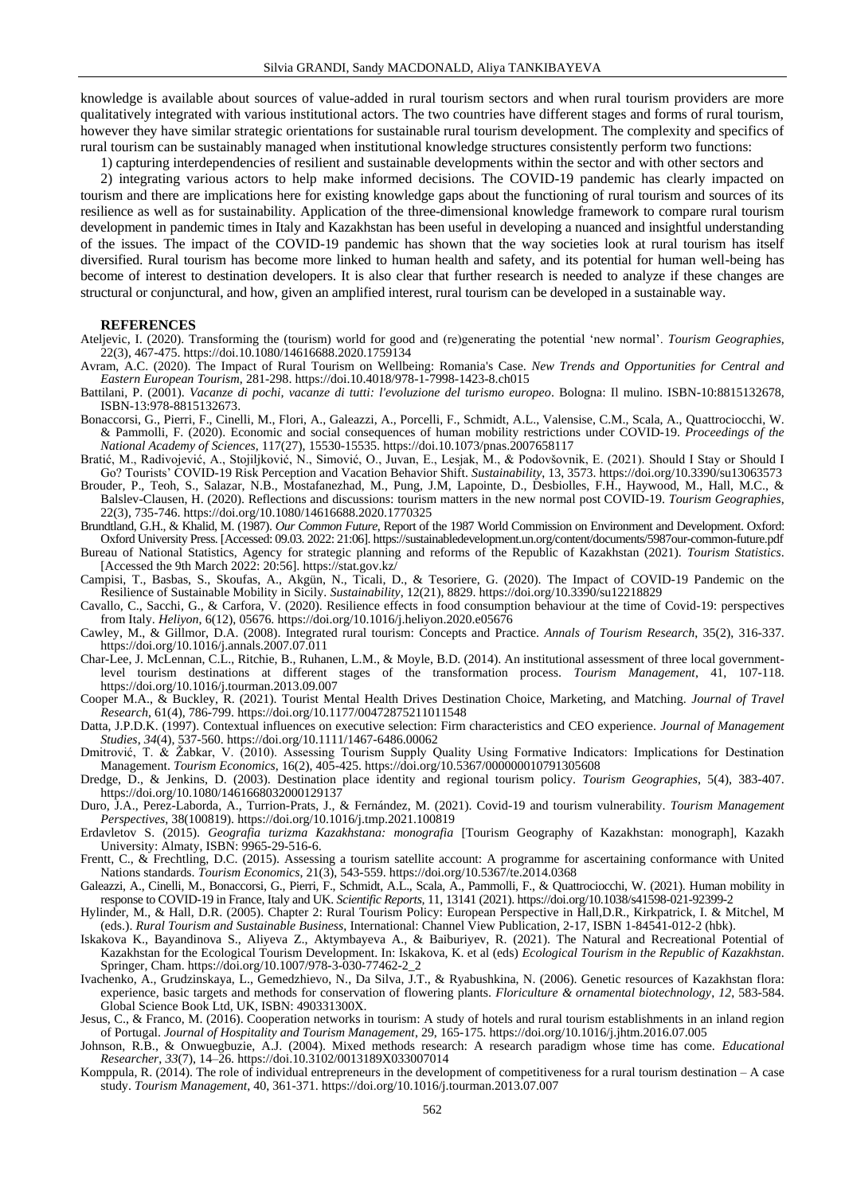knowledge is available about sources of value-added in rural tourism sectors and when rural tourism providers are more qualitatively integrated with various institutional actors. The two countries have different stages and forms of rural tourism, however they have similar strategic orientations for sustainable rural tourism development. The complexity and specifics of rural tourism can be sustainably managed when institutional knowledge structures consistently perform two functions:

1) capturing interdependencies of resilient and sustainable developments within the sector and with other sectors and

2) integrating various actors to help make informed decisions. The COVID-19 pandemic has clearly impacted on tourism and there are implications here for existing knowledge gaps about the functioning of rural tourism and sources of its resilience as well as for sustainability. Application of the three-dimensional knowledge framework to compare rural tourism development in pandemic times in Italy and Kazakhstan has been useful in developing a nuanced and insightful understanding of the issues. The impact of the COVID-19 pandemic has shown that the way societies look at rural tourism has itself diversified. Rural tourism has become more linked to human health and safety, and its potential for human well-being has become of interest to destination developers. It is also clear that further research is needed to analyze if these changes are structural or conjunctural, and how, given an amplified interest, rural tourism can be developed in a sustainable way.

#### **REFERENCES**

- Ateljevic, I. (2020). Transforming the (tourism) world for good and (re)generating the potential 'new normal'. *Tourism Geographies*, 22(3), 467-475. https://doi[.10.1080/14616688.2020.1759134](https://doi.org/10.1080/14616688.2020.1759134)
- Avram, A.C. (2020). The Impact of Rural Tourism on Wellbeing: Romania's Case. *New Trends and Opportunities for Central and Eastern European Tourism*, 281-298. https://doi.10.4018/978-1-7998-1423-8.ch015
- Battilani, P. (2001). *Vacanze di pochi, vacanze di tutti: l'evoluzione del turismo europeo*. Bologna: Il mulino. ISBN-10:8815132678, ISBN-13:978-8815132673.
- Bonaccorsi, G., Pierri, F., Cinelli, M., Flori, A., Galeazzi, A., Porcelli, F., Schmidt, A.L., Valensise, C.M., Scala, A., Quattrociocchi, W. & Pammolli, F. (2020). Economic and social consequences of human mobility restrictions under COVID-19. *Proceedings of the National Academy of Sciences*, 117(27), 15530-15535. https://doi.10.1073/pnas.2007658117
- Bratić, M., Radivojević, A., Stojiljković, N., Simović, O., Juvan, E., Lesjak, M., & Podovšovnik, E. (2021). Should I Stay or Should I Go? Tourists' COVID-19 Risk Perception and Vacation Behavior Shift. *Sustainability*, 13, 3573[. https://doi.org/10.3390/su13063573](https://doi.org/10.3390/su13063573)
- Brouder, P., Teoh, S., Salazar, N.B., Mostafanezhad, M., Pung, J.M, Lapointe, D., Desbiolles, F.H., Haywood, M., Hall, M.C., & Balslev-Clausen, H. (2020). Reflections and discussions: tourism matters in the new normal post COVID-19. *Tourism Geographies*, 22(3), 735-746[. https://doi.org/10.1080/14616688.2020.1770325](https://doi.org/10.1080/14616688.2020.1770325)
- Brundtland, G.H., & Khalid, M. (1987). *Our Common Future*, Report of the 1987 World Commission on Environment and Development. Oxford: Oxford University Press. [Accessed: 09.03. 2022: 21:06][. https://sustainabledevelopment.un.org/content/documents/5987our-common-future.pdf](https://sustainabledevelopment.un.org/content/documents/5987our-common-future.pdf)
- Bureau of National Statistics, Agency for strategic planning and reforms of the Republic of Kazakhstan (2021). *Tourism Statistics*. [Accessed the 9th March 2022: 20:56][. https://stat.gov.kz/](https://stat.gov.kz/)
- Campisi, T., Basbas, S., Skoufas, A., Akgün, N., Ticali, D., & Tesoriere, G. (2020). The Impact of COVID-19 Pandemic on the Resilience of Sustainable Mobility in Sicily. *Sustainability*, 12(21), 8829[. https://doi.org/10.3390/su12218829](https://doi.org/10.3390/su12218829)
- Cavallo, C., Sacchi, G., & Carfora, V. (2020). Resilience effects in food consumption behaviour at the time of Covid-19: perspectives from Italy. *Heliyon*, 6(12), 05676[. https://doi.org/10.1016/j.heliyon.2020.e05676](https://doi.org/10.1016/j.heliyon.2020.e05676)
- Cawley, M., & Gillmor, D.A. (2008). Integrated rural tourism: Concepts and Practice. *Annals of Tourism Research*, 35(2), 316-337. <https://doi.org/10.1016/j.annals.2007.07.011>
- Char-Lee, J. McLennan, C.L., Ritchie, B., Ruhanen, L.M., & Moyle, B.D. (2014). An institutional assessment of three local governmentlevel tourism destinations at different stages of the transformation process. *Tourism Management*, 41, 107-118. <https://doi.org/10.1016/j.tourman.2013.09.007>
- Cooper M.A., & Buckley, R. (2021). Tourist Mental Health Drives Destination Choice, Marketing, and Matching. *Journal of Travel Research*, 61(4), 786-799[. https://doi.org/10.1177/00472875211011548](https://doi.org/)
- Datta, J.P.D.K. (1997). Contextual influences on executive selection: Firm characteristics and CEO experience. *Journal of Management Studies*, *34*(4), 537-560.<https://doi.org/10.1111/1467-6486.00062>
- Dmitrović, T. & Žabkar, V. (2010). Assessing Tourism Supply Quality Using Formative Indicators: Implications for Destination Management. *Tourism Economics*, 16(2), 405-425. [https://doi.org/10.5367/000000010791305608](https://doi.org/10.5367%2F000000010791305608)
- Dredge, D., & Jenkins, D. (2003). Destination place identity and regional tourism policy. *Tourism Geographies*, 5(4), 383-407. <https://doi.org/10.1080/1461668032000129137>
- Duro, J.A., Perez-Laborda, A., Turrion-Prats, J., & Fernández, M. (2021). Covid-19 and tourism vulnerability. *Tourism Management Perspectives*, 38(100819)[. https://doi.org/10.1016/j.tmp.2021.100819](https://doi.org/10.1016/j.tmp.2021.100819)
- Erdavletov S. (2015). *Geografia turizma Kazakhstana: monografia* [Tourism Geography of Kazakhstan: monograph], Kazakh University: Almaty, ISBN: 9965-29-516-6.
- Frentt, C., & Frechtling, D.C. (2015). Assessing a tourism satellite account: A programme for ascertaining conformance with United Nations standards. *Tourism Economics*, 21(3), 543-559[. https://doi.org/10.5367/te.2014.0368](https://doi.org/10.5367%2Fte.2014.0368)
- Galeazzi, A., Cinelli, M., Bonaccorsi, G., Pierri, F., Schmidt, A.L., Scala, A., Pammolli, F., & Quattrociocchi, W. (2021). Human mobility in response to COVID-19 in France, Italy and UK. *Scientific Reports,* 11, 13141 (2021). https://doi.org/10.1038/s41598-021-92399-2
- Hylinder, M., & Hall, D.R. (2005). Chapter 2: Rural Tourism Policy: European Perspective in Hall,D.R., Kirkpatrick, I. & Mitchel, M (eds.). *Rural Tourism and Sustainable Business*, International: Channel View Publication, 2-17, ISBN 1-84541-012-2 (hbk).
- Iskakova K., Bayandinova S., Aliyeva Z., Aktymbayeva A., & Baiburiyev, R. (2021). The Natural and Recreational Potential of Kazakhstan for the Ecological Tourism Development. In: Iskakova, K. et al (eds) *Ecological Tourism in the Republic of Kazakhstan*. Springer, Cham[. https://doi.org/10.1007/978-3-030-77462-2\\_2](https://doi.org/10.1007/978-3-030-77462-2_2)
- Ivachenko, A., Grudzinskaya, L., Gemedzhievo, N., Da Silva, J.T., & Ryabushkina, N. (2006). Genetic resources of Kazakhstan flora: experience, basic targets and methods for conservation of flowering plants. *Floriculture & ornamental biotechnology*, *12*, 583-584. Global Science Book Ltd, UK, ISBN: 490331300X.
- Jesus, C., & Franco, M. (2016). Cooperation networks in tourism: A study of hotels and rural tourism establishments in an inland region of Portugal. *Journal of Hospitality and Tourism Management*, 29, 165-175.<https://doi.org/10.1016/j.jhtm.2016.07.005>
- Johnson, R.B., & Onwuegbuzie, A.J. (2004). Mixed methods research: A research paradigm whose time has come. *Educational Researcher*, *33*(7), 14–26. https://doi.10.3102/0013189X033007014
- Komppula, R. (2014). The role of individual entrepreneurs in the development of competitiveness for a rural tourism destination  $-A$  case study. *Tourism Management*, 40, 361-371[. https://doi.org/10.1016/j.tourman.2013.07.007](https://doi.org/10.1016/j.tourman.2013.07.007)